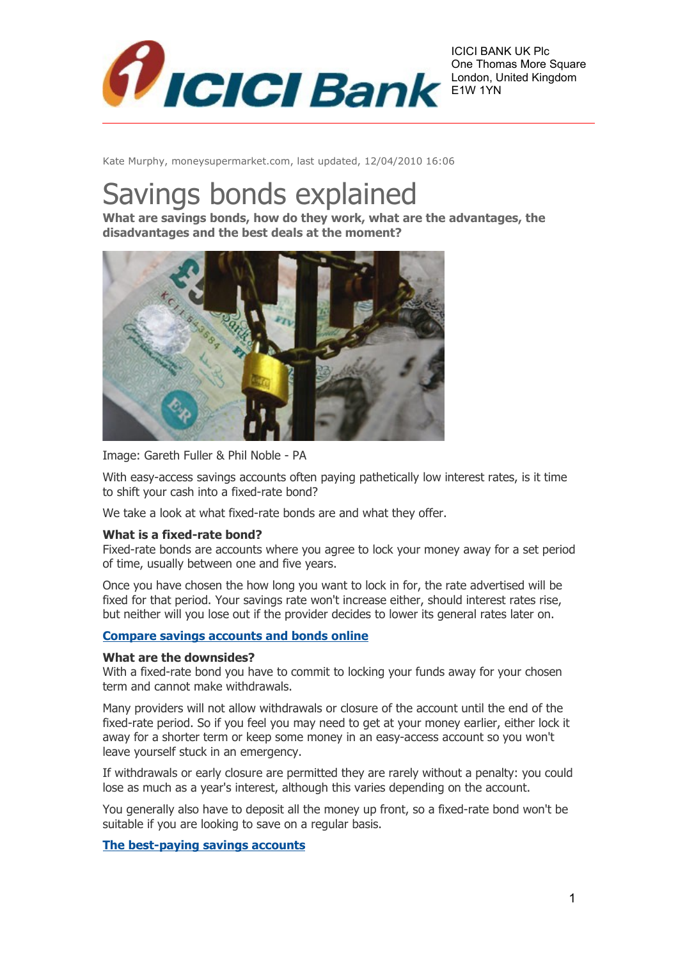

ICICI BANK UK Plc One Thomas More Square London, United Kingdom E1W 1YN

Kate Murphy, moneysupermarket.com, last updated, 12/04/2010 16:06

# Savings bonds explained

**What are savings bonds, how do they work, what are the advantages, the disadvantages and the best deals at the moment?**



Image: Gareth Fuller & Phil Noble - PA

With easy-access savings accounts often paying pathetically low interest rates, is it time to shift your cash into a fixed-rate bond?

We take a look at what fixed-rate bonds are and what they offer.

## **What is a fixed-rate bond?**

Fixed-rate bonds are accounts where you agree to lock your money away for a set period of time, usually between one and five years.

Once you have chosen the how long you want to lock in for, the rate advertised will be fixed for that period. Your savings rate won't increase either, should interest rates rise, but neither will you lose out if the provider decides to lower its general rates later on.

## **[Compare savings accounts and bonds online](http://msnmoney.moneysupermarket.com/link.asp?section=savings&source=MSN3)**

## **What are the downsides?**

With a fixed-rate bond you have to commit to locking your funds away for your chosen term and cannot make withdrawals.

Many providers will not allow withdrawals or closure of the account until the end of the fixed-rate period. So if you feel you may need to get at your money earlier, either lock it away for a shorter term or keep some money in an easy-access account so you won't leave yourself stuck in an emergency.

If withdrawals or early closure are permitted they are rarely without a penalty: you could lose as much as a year's interest, although this varies depending on the account.

You generally also have to deposit all the money up front, so a fixed-rate bond won't be suitable if you are looking to save on a regular basis.

## **[The best-paying savings accounts](http://money.uk.msn.com/savings-accounts/best-buys/)**